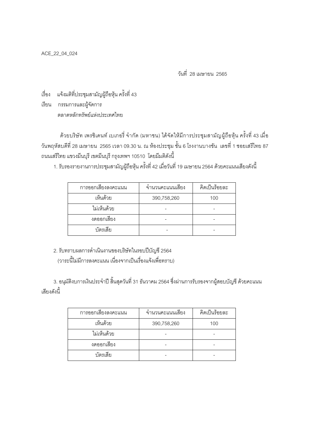ACE\_22\_04\_024

วันที่ 28 เมษายน 2565

.<br>เรื่อง แจ้งมติที่ประชุมสามัญผู้ถือหุ้น ครั้งที่ 43

เรียน กรรมการและผู้จัดการ ตลาดหลักทรัพย์แห่งประเทศไทย

้ด้วยบริษัท เพรซิเดนท์ เบเกอรี่ จำกัด (มหาชน) ได้จัดให้มีการประชุมสามัญผู้ถือหุ้น ครั้งที่ 43 เมื่อ ้วันพฤหัสบดีที่ 28 เมษายน 2565 เวลา 09.30 น. ณ ห้องประชุม ชั้น 6 โรงงานบางชัน เลขที่ 1 ซอยเสรีไทย 87 ิถนนเสรีไทย แขวงมีนบุรี เขตมีนบุรี กรุงเทพฯ 10510 โดยมีมติดังนี้

1. รับรองรายงานการประชุมสามัญผู้ถือหุ้น ครั้งที่ 42 เมื่อวันที่ 19 เมษายน 2564 ด้วยคะแนนเสียงดังนี้

| การออกเสี่ยงลงคะแนน | จำนวนคะแนนเสียง | คิดเป็นร้อยละ |
|---------------------|-----------------|---------------|
| เห็นด้วย            | 390,758,260     | 100           |
| ไม่เห็นด้วย         |                 |               |
| งดออกเสียง          |                 |               |
| บัตรเลีย            |                 |               |

2. รับทราบผลการดำเนินงานของบริษัทในรอบปีบัญชี 2564 (วาระนี้ไม่มีการลงคะแนน เนื่องจากเป็นเรื่องแจ้งเพื่อทราบ)

3. อนุมัติงบการเงินประจำปี สิ้นสุดวันที่ 31 ธันวาคม 2564 ซึ่งผ่านการรับรองจากผู้สอบบัญชี ด้วยคะแนน เสียงดังนี้

| การออกเสียงลงคะแนน | จำนวนคะแนนเสียง | คิดเป็นร้อยละ |
|--------------------|-----------------|---------------|
| เห็นด้วย           | 390,758,260     | 100           |
| ไม่เห็นด้วย        |                 |               |
| งดออกเสียง         |                 |               |
| บัตรเสีย           |                 |               |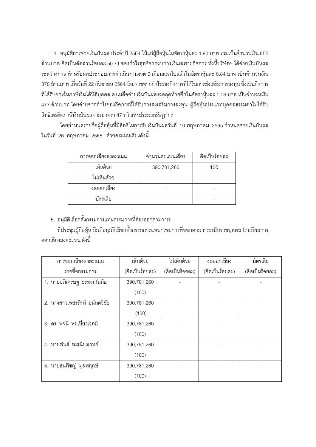4. อนุมัติการจ่ายเงินปันผล ประจำปี 2564 ให้แก่ผู้ถือหุ้นในอัตราหุ้นละ 1.90 บาท รวมเป็นจำนวนเงิน 855 ้ล้านบาท คิดเป็นสัดส่วนร้อยละ 50.71 ของกำไรสุทธิจากงบการเงินเฉพาะกิจการ ทั้งนี้บริษัทฯ ได้จ่ายเงินปันผล ้ระหว่างกาล สำหรับผลประกอบการดำเนินงานงวด 6 เดือนแรกไปแล้วในอัตราหุ้นละ 0.84 บาท เป็นจำนวนเงิน 378 ล้านบาท เมื่อวันที่ 22 กันยายน 2564 โดยจ่ายจากกำไรของกิจการที่ได้รับการส่งเสริมการลงทุน ซึ่งเป็นกิจการ ู้ที่ได้รับยกเว้นภาษีเงินได้นิติบุคคล คงเหลือจ่ายเงินปันผลงวดสุดท้ายอีกในอัตราหุ้นละ 1.06 บาท เป็นจำนวนเงิน 477 ล้านบาท โดยจ่ายจากกำไรของกิจการที่ได้รับการส่งเสริมการลงทุน ผู้ถือหุ้นประเภทบุคคลธรรมดาไม่ได้รับ ้สิทธิเครดิตภาษีเงินปันผลตามมาตรา 47 ทวิ แห่งประมวลรัษฎากร

โดยกำหนดรายชื่อผู้ถือหุ้นที่มีสิทธิในการรับเงินปันผลวันที่ 10 พฤษภาคม 2565 กำหนดจ่ายเงินปันผล ในวันที่ 26 พฤษภาคม 2565 ด้วยคะแนนเสียงดังนี้

| การออกเสียงลงคะแนน | จำนวนคะแนนเสียง | คิดเป็นร้อยละ |
|--------------------|-----------------|---------------|
| เห็นด้วย           | 390,781,260     | 100           |
| ไม่เห็นด้วย        |                 |               |
| งดออกเสียง         |                 |               |
| บัตรเลีย           |                 |               |

5. อนุมัติเลือกตั้งกรรมการแทนกรรมการที่ต้องออกตามวาระ

ี ที่ประชุมผู้ถือหุ้น มีมติอนุมัติเลือกตั้งกรรมการแทนกรรมการที่ออกตามวาระเป็นรายบุคคล โดยมีผลการ ้คคกเสียงลงคะแบบ ดังนี้

| การออกเสียงลงคะแนน            | เห็นด้วย        | ไม่เห็นด้วย     | งดออกเสียง      | บัตรเสีย        |
|-------------------------------|-----------------|-----------------|-----------------|-----------------|
| รายชื่อกรรมการ                | (คิดเป็นร้อยละ) | (คิดเป็นร้อยละ) | (คิดเป็นร้อยละ) | (คิดเป็นร้อยละ) |
| 1. นายอภิเศรษฐ ธรรมมโนมัย     | 390,781,260     |                 |                 |                 |
|                               | (100)           |                 |                 |                 |
| 2. นางสาวเพชรรัตน์ อนันตวิชัย | 390,781,260     |                 |                 |                 |
|                               | (100)           |                 |                 |                 |
| 3. ดร. พจนี พะเนียงเวทย์      | 390,781,260     |                 |                 |                 |
|                               | (100)           |                 |                 |                 |
| 4. นายพันธ์ พะเนียงเวทย์      | 390,781,260     |                 |                 |                 |
|                               | (100)           |                 |                 |                 |
| 5. นายธนพิชญ์ มูลพฤกษ์        | 390,781,260     |                 |                 |                 |
|                               | (100)           |                 |                 |                 |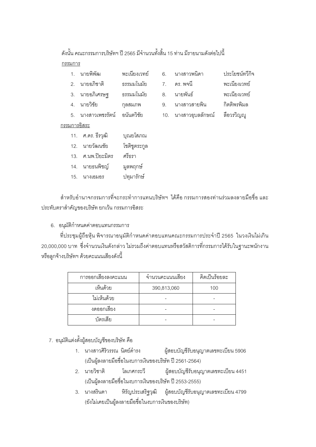้ ดังนั้น คณะกรรมการบริษัทฯ ปี 2565 มีจำนวนทั้งสิ้น 15 ท่าน มีรายนามดังต่อไปนี้ กรรมการ

- พะเบียงเวทย์ 1 บายพิพัฒ 2. นายอภิชาติ ธรรมมโนมัย
- 3. นายอภิเศรษฐ ธรรมมโนมัย
- 4. นายวิชัย กลสมภพ
- 5 นางสาวเพศรรัตน์ คนันตวิชัย
- 7. ดร.พจนี พะเนียงเวทย์ 8. นายพันธ์ พะเนียงเวทย์ 9. นางสาวสายพิน กิตติพรพิมล 10. นางสาวอบลลักษณ์ ลือวรวิญญ

6. นางสาวพบิดา

<u> ๆ ไระโยศน์ทวีกิจ</u>

## กรรมการคิสระ

- 11. ศ.ดร. ธีรวุฒิ บุณยโสภณ
- โชติชูตระกูล 12. นายวัฒนชัย
- 13 ศาเพ ปิยฺษฺมิตร ศรีธรา
- 14. นายธนพิชณ์ มูลพฤกษ์
- 15. นางเอมอร ปทุมารักษ์

้สำหรับอำนาจกรรมการที่จะกระทำการแทนบริษัทฯ ได้คือ กรรมการสองท่านร่วมลงลายมือชื่อ และ ประทับตราสำคัญของบริษัท ยกเว้น กรรมการอิสระ

6. อนุมัติกำหนดค่าตอบแทนกรรมการ

ที่ประชุมผู้ถือหุ้น พิจารณาอนุมัติกำหนดค่าตอบแทนคณะกรรมการประจำปี 2565 ในวงเงินไม่เกิน ่ 20,000,000 บาท ซึ่งจำนวนเงินดังกล่าว ไม่รวมถึงค่าตอบแทนหรือสวัสดิการที่กรรมการได้รับในฐานะพนักงาน หรือลูกจ้างบริษัทฯ ด้วยคะแนนเสียงดังนี้

| การออกเสี่ยงลงคะแนน | จำนวนคะแนนเสียง | คิดเป็นร้อยละ |
|---------------------|-----------------|---------------|
| เห็นด้วย            | 390,813,060     | 100           |
| ไม่เห็นด้วย         |                 |               |
| งดออกเสียง          |                 |               |
| บัตรเลีย            |                 |               |

7. อนุมัติแต่งตั้งผู้สอบบัญชีของบริษัท คือ

- 1. นางสาวศิริวรรณ นิตย์ดำรง ผู้สอบบัญชีรับอนุญาตเลขทะเบียน 5906 (เป็นผู้ลงลายมือชื่อในงบการเงินของบริษัท ปี 2561-2564)
- 2. นายวิชาติ โลเกศกระวี ผู้สอบบัญชีรับอนุญาตเลขทะเบียน 4451 (เป็นผู้ลงลายมือชื่อในงบการเงินของบริษัท ปี 2553-2555)
- 3. นางสรินดา หิรัญประเสริฐวุฒิ ผู้สอบบัญชีรับอนุญาตเลขทะเบียน 4799 (ยังไม่เคยเป็นผู้ลงลายมือชื่อในงบการเงินของบริษัท)